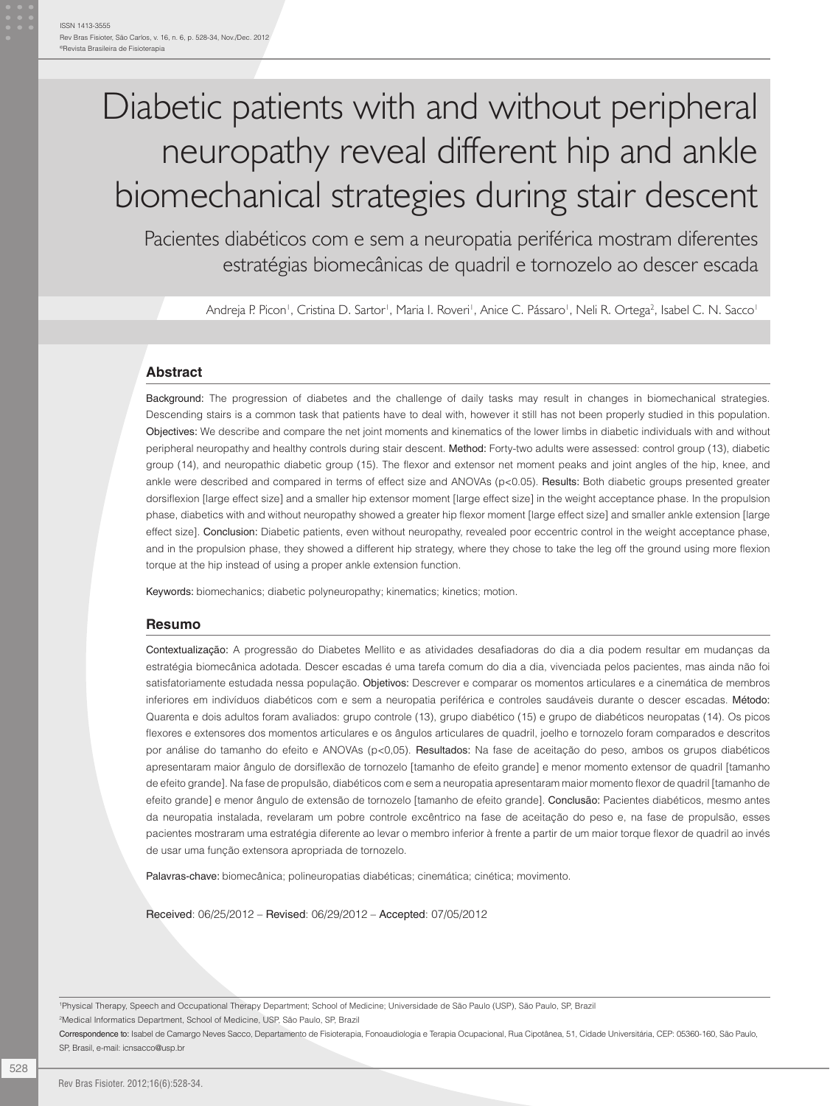# Diabetic patients with and without peripheral neuropathy reveal different hip and ankle biomechanical strategies during stair descent

Pacientes diabéticos com e sem a neuropatia periférica mostram diferentes estratégias biomecânicas de quadril e tornozelo ao descer escada

Andreja P. Picon', Cristina D. Sartor', Maria I. Roveri', Anice C. Pássaro', Neli R. Ortega<sup>2</sup>, Isabel C. N. Sacco'

#### **Abstract**

Background: The progression of diabetes and the challenge of daily tasks may result in changes in biomechanical strategies. Descending stairs is a common task that patients have to deal with, however it still has not been properly studied in this population. Objectives: We describe and compare the net joint moments and kinematics of the lower limbs in diabetic individuals with and without peripheral neuropathy and healthy controls during stair descent. Method: Forty-two adults were assessed: control group (13), diabetic group (14), and neuropathic diabetic group (15). The flexor and extensor net moment peaks and joint angles of the hip, knee, and ankle were described and compared in terms of effect size and ANOVAs (p<0.05). Results: Both diabetic groups presented greater dorsiflexion [large effect size] and a smaller hip extensor moment [large effect size] in the weight acceptance phase. In the propulsion phase, diabetics with and without neuropathy showed a greater hip flexor moment [large effect size] and smaller ankle extension [large effect size]. Conclusion: Diabetic patients, even without neuropathy, revealed poor eccentric control in the weight acceptance phase, and in the propulsion phase, they showed a different hip strategy, where they chose to take the leg off the ground using more flexion torque at the hip instead of using a proper ankle extension function.

Keywords: biomechanics; diabetic polyneuropathy; kinematics; kinetics; motion.

#### **Resumo**

Contextualização: A progressão do Diabetes Mellito e as atividades desafiadoras do dia a dia podem resultar em mudanças da estratégia biomecânica adotada. Descer escadas é uma tarefa comum do dia a dia, vivenciada pelos pacientes, mas ainda não foi satisfatoriamente estudada nessa população. Objetivos: Descrever e comparar os momentos articulares e a cinemática de membros inferiores em indivíduos diabéticos com e sem a neuropatia periférica e controles saudáveis durante o descer escadas. Método: Quarenta e dois adultos foram avaliados: grupo controle (13), grupo diabético (15) e grupo de diabéticos neuropatas (14). Os picos flexores e extensores dos momentos articulares e os ângulos articulares de quadril, joelho e tornozelo foram comparados e descritos por análise do tamanho do efeito e ANOVAs (p<0,05). Resultados: Na fase de aceitação do peso, ambos os grupos diabéticos apresentaram maior ângulo de dorsiflexão de tornozelo [tamanho de efeito grande] e menor momento extensor de quadril [tamanho de efeito grande]. Na fase de propulsão, diabéticos com e sem a neuropatia apresentaram maior momento flexor de quadril [tamanho de efeito grande] e menor ângulo de extensão de tornozelo [tamanho de efeito grande]. Conclusão: Pacientes diabéticos, mesmo antes da neuropatia instalada, revelaram um pobre controle excêntrico na fase de aceitação do peso e, na fase de propulsão, esses pacientes mostraram uma estratégia diferente ao levar o membro inferior à frente a partir de um maior torque flexor de quadril ao invés de usar uma função extensora apropriada de tornozelo.

Palavras-chave: biomecânica; polineuropatias diabéticas; cinemática; cinética; movimento.

Received: 06/25/2012 – Revised: 06/29/2012 – Accepted: 07/05/2012

1 Physical Therapy, Speech and Occupational Therapy Department; School of Medicine; Universidade de São Paulo (USP), São Paulo, SP, Brazil

<sup>2</sup>Medical Informatics Department, School of Medicine, USP, São Paulo, SP, Brazil

Correspondence to: Isabel de Camargo Neves Sacco, Departamento de Fisioterapia, Fonoaudiologia e Terapia Ocupacional, Rua Cipotânea, 51, Cidade Universitária, CEP: 05360-160, São Paulo, SP, Brasil, e-mail: icnsacco@usp.br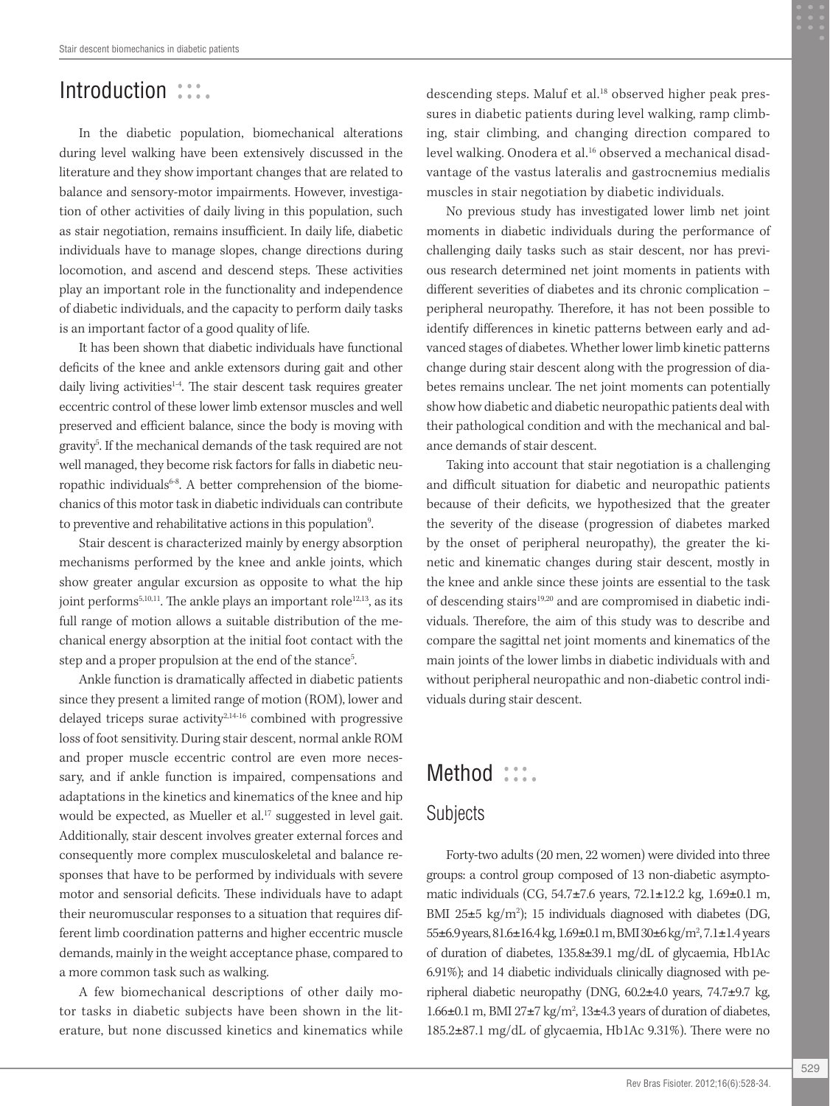# Introduction :::.

In the diabetic population, biomechanical alterations during level walking have been extensively discussed in the literature and they show important changes that are related to balance and sensory-motor impairments. However, investigation of other activities of daily living in this population, such as stair negotiation, remains insufficient. In daily life, diabetic individuals have to manage slopes, change directions during locomotion, and ascend and descend steps. These activities play an important role in the functionality and independence of diabetic individuals, and the capacity to perform daily tasks is an important factor of a good quality of life.

It has been shown that diabetic individuals have functional deficits of the knee and ankle extensors during gait and other daily living activities<sup>1-4</sup>. The stair descent task requires greater eccentric control of these lower limb extensor muscles and well preserved and efficient balance, since the body is moving with gravity5 . If the mechanical demands of the task required are not well managed, they become risk factors for falls in diabetic neuropathic individuals<sup>6-8</sup>. A better comprehension of the biomechanics of this motor task in diabetic individuals can contribute to preventive and rehabilitative actions in this population<sup>9</sup>. .

Stair descent is characterized mainly by energy absorption mechanisms performed by the knee and ankle joints, which show greater angular excursion as opposite to what the hip joint performs<sup>5,10,11</sup>. The ankle plays an important role<sup>12,13</sup>, as its full range of motion allows a suitable distribution of the mechanical energy absorption at the initial foot contact with the step and a proper propulsion at the end of the stance<sup>5</sup>. .

Ankle function is dramatically affected in diabetic patients since they present a limited range of motion (ROM), lower and delayed triceps surae activity $2,14-16$  combined with progressive loss of foot sensitivity. During stair descent, normal ankle ROM and proper muscle eccentric control are even more necessary, and if ankle function is impaired, compensations and adaptations in the kinetics and kinematics of the knee and hip would be expected, as Mueller et al.<sup>17</sup> suggested in level gait. Additionally, stair descent involves greater external forces and consequently more complex musculoskeletal and balance responses that have to be performed by individuals with severe motor and sensorial deficits. These individuals have to adapt their neuromuscular responses to a situation that requires different limb coordination patterns and higher eccentric muscle demands, mainly in the weight acceptance phase, compared to a more common task such as walking.

A few biomechanical descriptions of other daily motor tasks in diabetic subjects have been shown in the literature, but none discussed kinetics and kinematics while

descending steps. Maluf et al.<sup>18</sup> observed higher peak pressures in diabetic patients during level walking, ramp climbing, stair climbing, and changing direction compared to level walking. Onodera et al.<sup>16</sup> observed a mechanical disadvantage of the vastus lateralis and gastrocnemius medialis muscles in stair negotiation by diabetic individuals.

No previous study has investigated lower limb net joint moments in diabetic individuals during the performance of challenging daily tasks such as stair descent, nor has previous research determined net joint moments in patients with different severities of diabetes and its chronic complication – peripheral neuropathy. Therefore, it has not been possible to identify differences in kinetic patterns between early and advanced stages of diabetes. Whether lower limb kinetic patterns change during stair descent along with the progression of diabetes remains unclear. The net joint moments can potentially show how diabetic and diabetic neuropathic patients deal with their pathological condition and with the mechanical and balance demands of stair descent.

Taking into account that stair negotiation is a challenging and difficult situation for diabetic and neuropathic patients because of their deficits, we hypothesized that the greater the severity of the disease (progression of diabetes marked by the onset of peripheral neuropathy), the greater the kinetic and kinematic changes during stair descent, mostly in the knee and ankle since these joints are essential to the task of descending stairs<sup>19,20</sup> and are compromised in diabetic individuals. Therefore, the aim of this study was to describe and compare the sagittal net joint moments and kinematics of the main joints of the lower limbs in diabetic individuals with and without peripheral neuropathic and non-diabetic control individuals during stair descent.

# Method :::.

#### Subjects

Forty-two adults (20 men, 22 women) were divided into three groups: a control group composed of 13 non-diabetic asymptomatic individuals (CG, 54.7±7.6 years, 72.1±12.2 kg, 1.69±0.1 m, BMI 25 $\pm$ 5 kg/m<sup>2</sup>); 15 individuals diagnosed with diabetes (DG, 55±6.9 years, 81.6±16.4 kg, 1.69±0.1 m, BMI 30±6 kg/m<sup>2</sup>, 7.1±1.4 years of duration of diabetes, 135.8±39.1 mg/dL of glycaemia, Hb1Ac 6.91%); and 14 diabetic individuals clinically diagnosed with peripheral diabetic neuropathy (DNG, 60.2±4.0 years, 74.7±9.7 kg, 1.66 $\pm$ 0.1 m, BMI 27 $\pm$ 7 kg/m<sup>2</sup>, 13 $\pm$ 4.3 years of duration of diabetes, 185.2±87.1 mg/dL of glycaemia, Hb1Ac 9.31%). There were no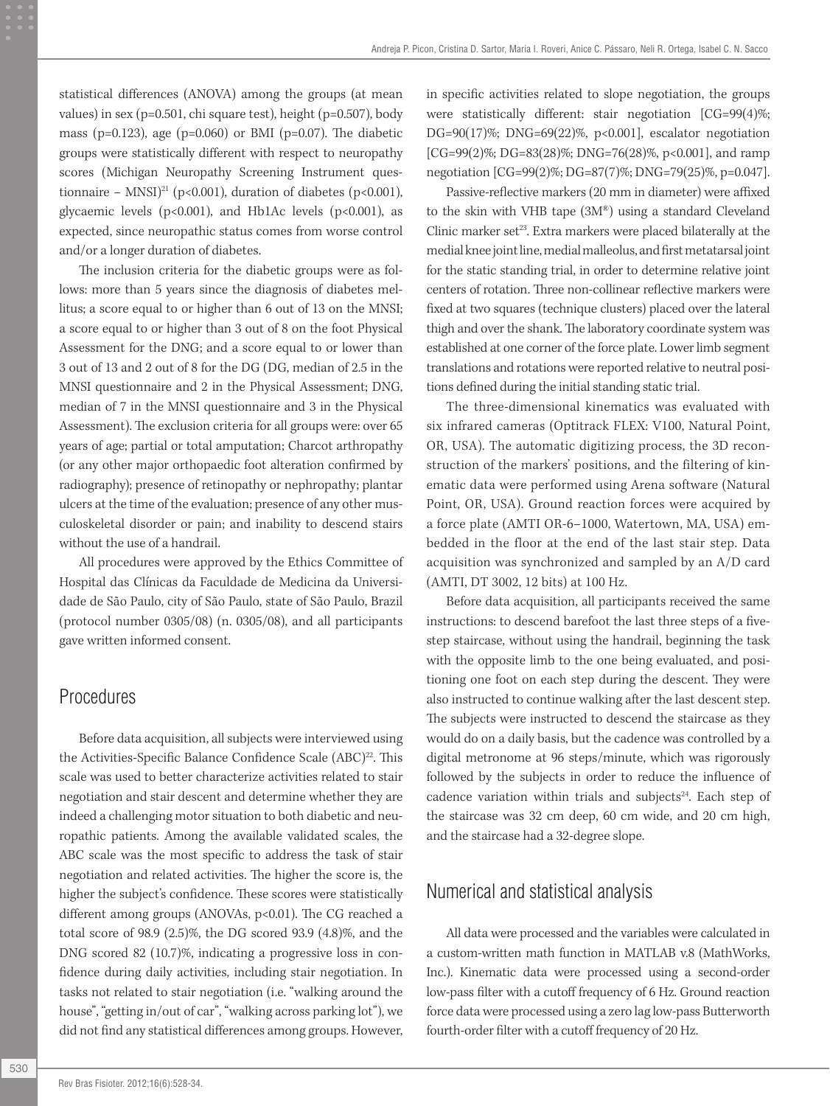statistical differences (ANOVA) among the groups (at mean values) in sex (p=0.501, chi square test), height (p=0.507), body mass (p=0.123), age (p=0.060) or BMI (p=0.07). The diabetic groups were statistically different with respect to neuropathy scores (Michigan Neuropathy Screening Instrument questionnaire – MNSI)<sup>21</sup> (p<0.001), duration of diabetes (p<0.001), glycaemic levels (p<0.001), and Hb1Ac levels (p<0.001), as expected, since neuropathic status comes from worse control and/or a longer duration of diabetes.

The inclusion criteria for the diabetic groups were as follows: more than 5 years since the diagnosis of diabetes mellitus; a score equal to or higher than 6 out of 13 on the MNSI; a score equal to or higher than 3 out of 8 on the foot Physical Assessment for the DNG; and a score equal to or lower than 3 out of 13 and 2 out of 8 for the DG (DG, median of 2.5 in the MNSI questionnaire and 2 in the Physical Assessment; DNG, median of 7 in the MNSI questionnaire and 3 in the Physical Assessment). The exclusion criteria for all groups were: over 65 years of age; partial or total amputation; Charcot arthropathy (or any other major orthopaedic foot alteration confirmed by radiography); presence of retinopathy or nephropathy; plantar ulcers at the time of the evaluation; presence of any other musculoskeletal disorder or pain; and inability to descend stairs without the use of a handrail.

All procedures were approved by the Ethics Committee of Hospital das Clínicas da Faculdade de Medicina da Universidade de São Paulo, city of São Paulo, state of São Paulo, Brazil (protocol number 0305/08) (n. 0305/08), and all participants gave written informed consent.

#### Procedures

Before data acquisition, all subjects were interviewed using the Activities-Specific Balance Confidence Scale (ABC)<sup>22</sup>. This scale was used to better characterize activities related to stair negotiation and stair descent and determine whether they are indeed a challenging motor situation to both diabetic and neuropathic patients. Among the available validated scales, the ABC scale was the most specific to address the task of stair negotiation and related activities. The higher the score is, the higher the subject's confidence. These scores were statistically different among groups (ANOVAs, p<0.01). The CG reached a total score of 98.9 (2.5)%, the DG scored 93.9 (4.8)%, and the DNG scored 82 (10.7)%, indicating a progressive loss in confidence during daily activities, including stair negotiation. In tasks not related to stair negotiation (i.e. "walking around the house", "getting in/out of car", "walking across parking lot"), we did not find any statistical differences among groups. However,

in specific activities related to slope negotiation, the groups were statistically different: stair negotiation [CG=99(4)%; DG=90(17)%; DNG=69(22)%, p<0.001], escalator negotiation [CG=99(2)%; DG=83(28)%; DNG=76(28)%, p<0.001], and ramp negotiation [CG=99(2)%; DG=87(7)%; DNG=79(25)%, p=0.047].

Passive-reflective markers (20 mm in diameter) were affixed to the skin with VHB tape (3M®) using a standard Cleveland Clinic marker set<sup>23</sup>. Extra markers were placed bilaterally at the medial knee joint line, medial malleolus, and first metatarsal joint for the static standing trial, in order to determine relative joint centers of rotation. Three non-collinear reflective markers were fixed at two squares (technique clusters) placed over the lateral thigh and over the shank. The laboratory coordinate system was established at one corner of the force plate. Lower limb segment translations and rotations were reported relative to neutral positions defined during the initial standing static trial.

The three-dimensional kinematics was evaluated with six infrared cameras (Optitrack FLEX: V100, Natural Point, OR, USA). The automatic digitizing process, the 3D reconstruction of the markers' positions, and the filtering of kinematic data were performed using Arena software (Natural Point, OR, USA). Ground reaction forces were acquired by a force plate (AMTI OR-6–1000, Watertown, MA, USA) embedded in the floor at the end of the last stair step. Data acquisition was synchronized and sampled by an A/D card (AMTI, DT 3002, 12 bits) at 100 Hz.

Before data acquisition, all participants received the same instructions: to descend barefoot the last three steps of a fivestep staircase, without using the handrail, beginning the task with the opposite limb to the one being evaluated, and positioning one foot on each step during the descent. They were also instructed to continue walking after the last descent step. The subjects were instructed to descend the staircase as they would do on a daily basis, but the cadence was controlled by a digital metronome at 96 steps/minute, which was rigorously followed by the subjects in order to reduce the influence of cadence variation within trials and subjects<sup>24</sup>. Each step of the staircase was 32 cm deep, 60 cm wide, and 20 cm high, and the staircase had a 32-degree slope.

#### Numerical and statistical analysis

All data were processed and the variables were calculated in a custom-written math function in MATLAB v.8 (MathWorks, Inc.). Kinematic data were processed using a second-order low-pass filter with a cutoff frequency of 6 Hz. Ground reaction force data were processed using a zero lag low-pass Butterworth fourth-order filter with a cutoff frequency of 20 Hz.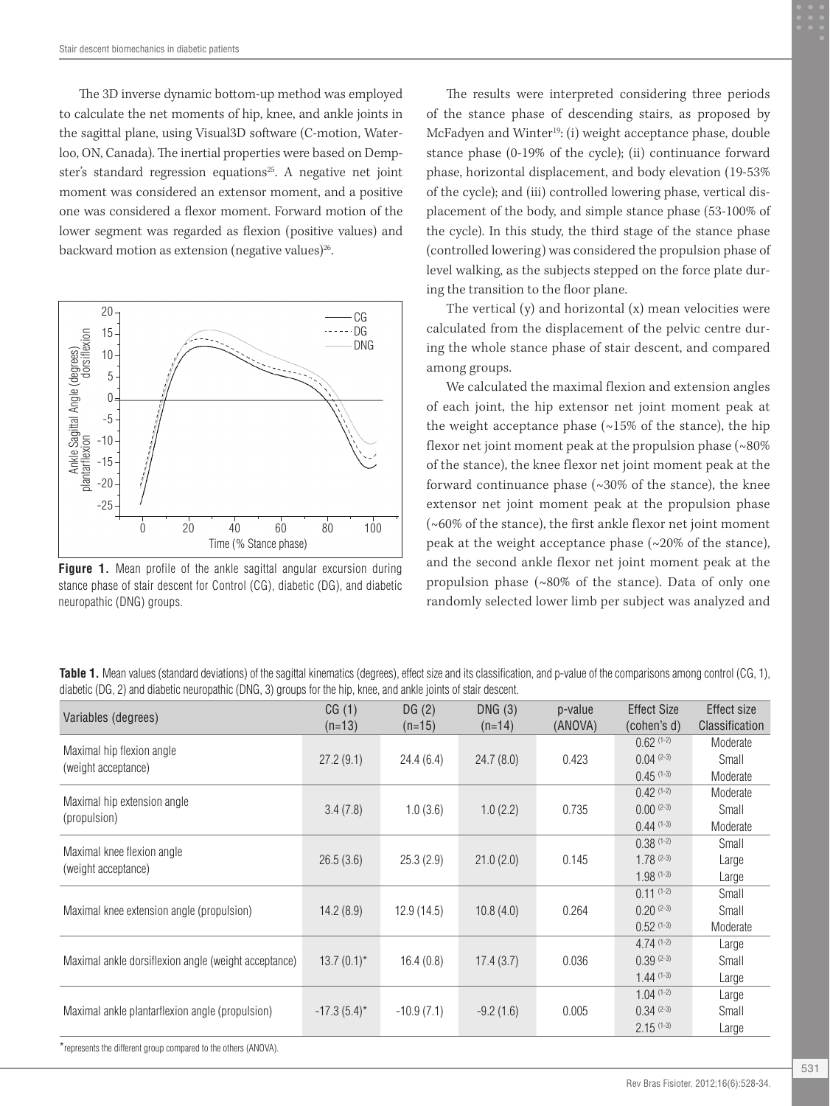The 3D inverse dynamic bottom-up method was employed to calculate the net moments of hip, knee, and ankle joints in the sagittal plane, using Visual3D software (C-motion, Waterloo, ON, Canada). The inertial properties were based on Dempster's standard regression equations<sup>25</sup>. A negative net joint moment was considered an extensor moment, and a positive one was considered a flexor moment. Forward motion of the lower segment was regarded as flexion (positive values) and backward motion as extension (negative values) $^{26}$ .



**Figure 1.** Mean profile of the ankle sagittal angular excursion during stance phase of stair descent for Control (CG), diabetic (DG), and diabetic neuropathic (DNG) groups.

The results were interpreted considering three periods of the stance phase of descending stairs, as proposed by McFadyen and Winter<sup>19</sup>: (i) weight acceptance phase, double stance phase (0-19% of the cycle); (ii) continuance forward phase, horizontal displacement, and body elevation (19-53% of the cycle); and (iii) controlled lowering phase, vertical displacement of the body, and simple stance phase (53-100% of the cycle). In this study, the third stage of the stance phase (controlled lowering) was considered the propulsion phase of level walking, as the subjects stepped on the force plate during the transition to the floor plane.

The vertical  $(v)$  and horizontal  $(x)$  mean velocities were calculated from the displacement of the pelvic centre during the whole stance phase of stair descent, and compared among groups.

We calculated the maximal flexion and extension angles of each joint, the hip extensor net joint moment peak at the weight acceptance phase  $(\sim 15\%$  of the stance), the hip flexor net joint moment peak at the propulsion phase  $(~80\%$ of the stance), the knee flexor net joint moment peak at the forward continuance phase (~30% of the stance), the knee extensor net joint moment peak at the propulsion phase (~60% of the stance), the first ankle flexor net joint moment peak at the weight acceptance phase (~20% of the stance), and the second ankle flexor net joint moment peak at the propulsion phase (~80% of the stance). Data of only one randomly selected lower limb per subject was analyzed and

**Table 1.** Mean values (standard deviations) of the sagittal kinematics (degrees), effect size and its classification, and p-value of the comparisons among control (CG, 1), diabetic (DG, 2) and diabetic neuropathic (DNG, 3) groups for the hip, knee, and ankle joints of stair descent.

| Variables (degrees)                                             | CG(1)<br>$(n=13)$ | DG(2)<br>$(n=15)$ | DNG(3)<br>$(n=14)$ | p-value<br>(ANOVA) | <b>Effect Size</b><br>(cohen's d) | Effect size<br>Classification |
|-----------------------------------------------------------------|-------------------|-------------------|--------------------|--------------------|-----------------------------------|-------------------------------|
| Maximal hip flexion angle<br>(weight acceptance)                |                   |                   |                    |                    | $0.62$ (1-2)                      | Moderate                      |
|                                                                 | 27.2(9.1)         | 24.4(6.4)         | 24.7(8.0)          | 0.423              | $0.04$ (2-3)                      | Small                         |
|                                                                 |                   |                   |                    |                    | $0.45$ (1-3)                      | Moderate                      |
| Maximal hip extension angle<br>(propulsion)                     |                   |                   |                    |                    | $0.42$ (1-2)                      | Moderate                      |
|                                                                 | 3.4(7.8)          | 1.0(3.6)          | 1.0(2.2)           | 0.735              | $0.00^{(2-3)}$                    | Small                         |
|                                                                 |                   |                   |                    |                    | $0.44(1-3)$                       | Moderate                      |
| Maximal knee flexion angle<br>(weight acceptance)               |                   |                   |                    |                    | $0.38(1-2)$                       | Small                         |
|                                                                 | 26.5(3.6)         | 25.3(2.9)         | 21.0(2.0)          | 0.145              | $1.78^{(2-3)}$                    | Large                         |
|                                                                 |                   |                   |                    |                    | $1.98(1-3)$                       | Large                         |
| Maximal knee extension angle (propulsion)                       |                   |                   |                    |                    | $0.11$ $(1-2)$                    | Small                         |
|                                                                 | 14.2(8.9)         | 12.9(14.5)        | 10.8(4.0)          | 0.264              | $0.20^{(2-3)}$                    | Small                         |
|                                                                 |                   |                   |                    |                    | $0.52(1-3)$                       | Moderate                      |
| Maximal ankle dorsiflexion angle (weight acceptance)            |                   |                   |                    |                    | $4.74(1-2)$                       | Large                         |
|                                                                 | $13.7(0.1)$ *     | 16.4(0.8)         | 17.4(3.7)          | 0.036              | $0.39^{(2-3)}$                    | Small                         |
|                                                                 |                   |                   |                    |                    | $1.44(1-3)$                       | Large                         |
| Maximal ankle plantarflexion angle (propulsion)                 |                   |                   |                    |                    | $1.04$ (1-2)                      | Large                         |
|                                                                 | $-17.3(5.4)^{*}$  | $-10.9(7.1)$      | $-9.2(1.6)$        | 0.005              | $0.34(2-3)$                       | Small                         |
|                                                                 |                   |                   |                    |                    | $2.15^{(1-3)}$                    | Large                         |
| *represents the different group compared to the others (ANOVA). |                   |                   |                    |                    |                                   |                               |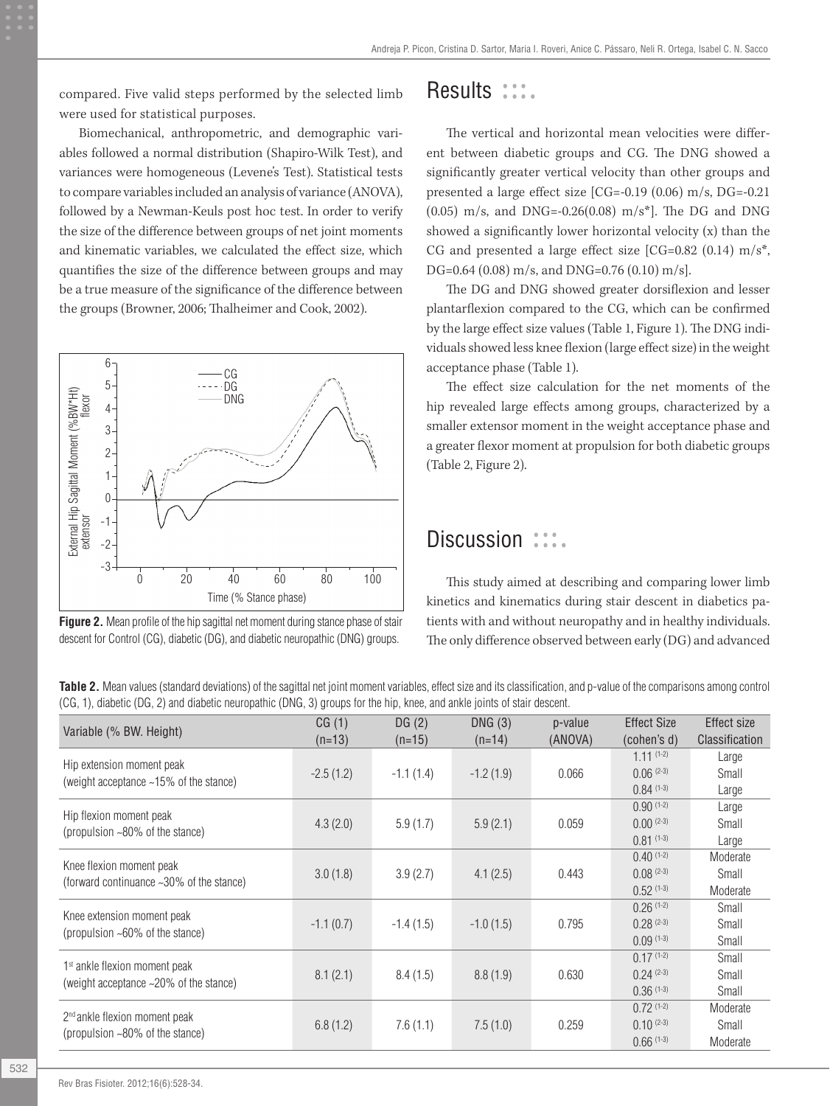compared. Five valid steps performed by the selected limb were used for statistical purposes.

Biomechanical, anthropometric, and demographic variables followed a normal distribution (Shapiro-Wilk Test), and variances were homogeneous (Levene's Test). Statistical tests to compare variables included an analysis of variance (ANOVA), followed by a Newman-Keuls post hoc test. In order to verify the size of the difference between groups of net joint moments and kinematic variables, we calculated the effect size, which quantifies the size of the difference between groups and may be a true measure of the significance of the difference between the groups (Browner, 2006; Thalheimer and Cook, 2002).



**Figure 2.** Mean profile of the hip sagittal net moment during stance phase of stair descent for Control (CG), diabetic (DG), and diabetic neuropathic (DNG) groups.

### Results :::.

The vertical and horizontal mean velocities were different between diabetic groups and CG. The DNG showed a significantly greater vertical velocity than other groups and presented a large effect size [CG=-0.19 (0.06) m/s, DG=-0.21 (0.05) m/s, and DNG=-0.26(0.08) m/s\*]. The DG and DNG showed a significantly lower horizontal velocity (x) than the CG and presented a large effect size  $[CG=0.82 (0.14) m/s<sup>*</sup>$ , DG=0.64 (0.08) m/s, and DNG=0.76 (0.10) m/s].

The DG and DNG showed greater dorsiflexion and lesser plantarflexion compared to the CG, which can be confirmed by the large effect size values (Table 1, Figure 1). The DNG individuals showed less knee flexion (large effect size) in the weight acceptance phase (Table 1).

The effect size calculation for the net moments of the hip revealed large effects among groups, characterized by a smaller extensor moment in the weight acceptance phase and a greater flexor moment at propulsion for both diabetic groups (Table 2, Figure 2).

### Discussion :::.

This study aimed at describing and comparing lower limb kinetics and kinematics during stair descent in diabetics patients with and without neuropathy and in healthy individuals. The only difference observed between early (DG) and advanced

**Table 2.** Mean values (standard deviations) of the sagittal net joint moment variables, effect size and its classification, and p-value of the comparisons among control (CG, 1), diabetic (DG, 2) and diabetic neuropathic (DNG, 3) groups for the hip, knee, and ankle joints of stair descent.

| Variable (% BW. Height)                                                      | CG(1)<br>$(n=13)$ | DG(2)<br>$(n=15)$ | DNG(3)<br>$(n=14)$ | p-value<br>(ANOVA) | <b>Effect Size</b><br>(cohen's d) | Effect size<br>Classification |
|------------------------------------------------------------------------------|-------------------|-------------------|--------------------|--------------------|-----------------------------------|-------------------------------|
| Hip extension moment peak<br>(weight acceptance ~15% of the stance)          | $-2.5(1.2)$       | $-1.1(1.4)$       | $-1.2(1.9)$        | 0.066              | $1.11(1-2)$<br>$0.06^{(2-3)}$     | Large<br>Small                |
|                                                                              |                   |                   |                    |                    | $0.84(1-3)$                       | Large                         |
| Hip flexion moment peak                                                      |                   |                   |                    |                    | $0.90(1-2)$                       | Large                         |
| (propulsion ~80% of the stance)                                              | 4.3(2.0)          | 5.9(1.7)          | 5.9(2.1)           | 0.059              | $0.00^{(2-3)}$                    | Small                         |
|                                                                              |                   |                   |                    |                    | $0.81(1-3)$                       | Large                         |
| Knee flexion moment peak<br>(forward continuance ~30% of the stance)         |                   |                   |                    |                    | $0.40^{(1-2)}$                    | Moderate                      |
|                                                                              | 3.0(1.8)          | 3.9(2.7)          | 4.1(2.5)           | 0.443              | $0.08^{(2-3)}$                    | Small                         |
|                                                                              |                   |                   |                    |                    | $0.52(1-3)$                       | Moderate                      |
| Knee extension moment peak                                                   |                   |                   |                    |                    | $0.26(1-2)$                       | Small                         |
| (propulsion ~60% of the stance)                                              | $-1.1(0.7)$       | $-1.4(1.5)$       | $-1.0(1.5)$        | 0.795              | $0.28^{(2-3)}$                    | Small                         |
|                                                                              |                   |                   |                    |                    | $0.09(1-3)$                       | Small                         |
|                                                                              |                   |                   |                    |                    | $0.17(1-2)$                       | Small                         |
| 1 <sup>st</sup> ankle flexion moment peak                                    | 8.1(2.1)          | 8.4(1.5)          | 8.8(1.9)           | 0.630              | $0.24$ $(2-3)$                    | Small                         |
| (weight acceptance ~20% of the stance)                                       |                   |                   |                    |                    | $0.36(1-3)$                       | Small                         |
|                                                                              |                   |                   |                    |                    | $0.72(1-2)$                       | Moderate                      |
| 2 <sup>nd</sup> ankle flexion moment peak<br>(propulsion ~80% of the stance) | 6.8(1.2)          | 7.6(1.1)          | 7.5(1.0)           | 0.259              | $0.10^{(2-3)}$                    | Small                         |
|                                                                              |                   |                   |                    |                    | $0.66(1-3)$                       | Moderate                      |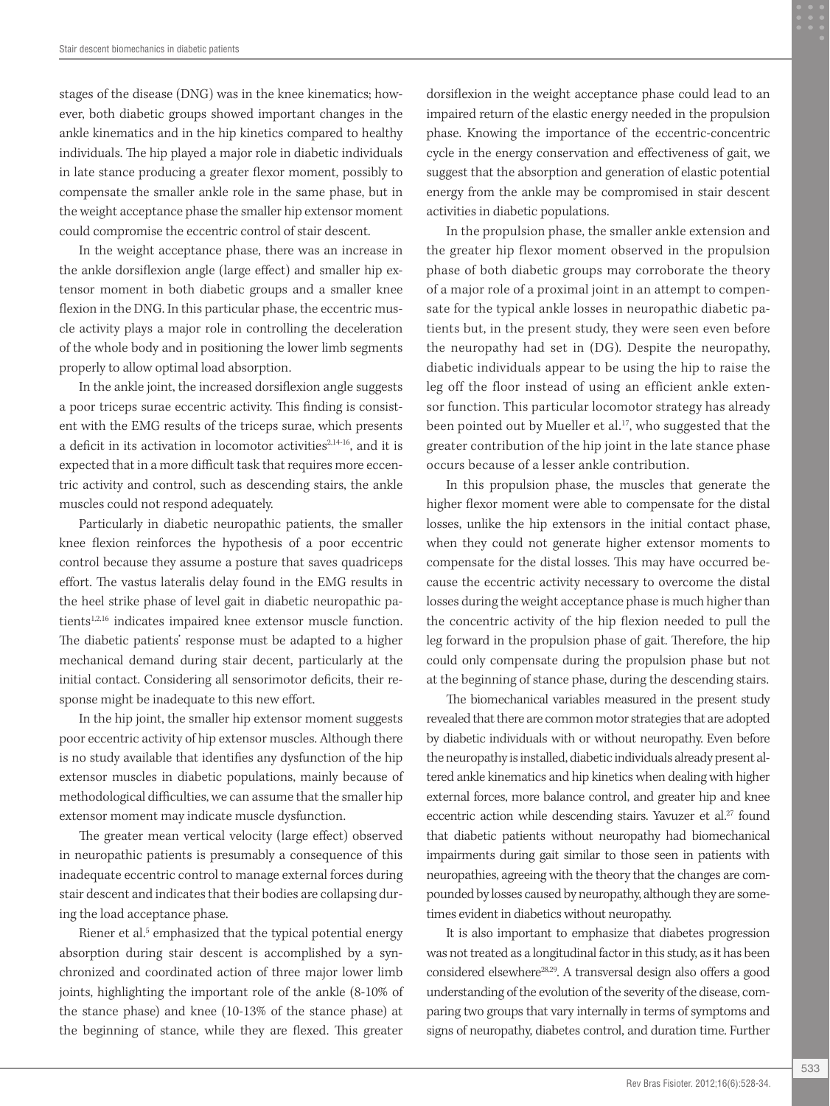stages of the disease (DNG) was in the knee kinematics; however, both diabetic groups showed important changes in the ankle kinematics and in the hip kinetics compared to healthy individuals. The hip played a major role in diabetic individuals in late stance producing a greater flexor moment, possibly to compensate the smaller ankle role in the same phase, but in the weight acceptance phase the smaller hip extensor moment could compromise the eccentric control of stair descent.

In the weight acceptance phase, there was an increase in the ankle dorsiflexion angle (large effect) and smaller hip extensor moment in both diabetic groups and a smaller knee flexion in the DNG. In this particular phase, the eccentric muscle activity plays a major role in controlling the deceleration of the whole body and in positioning the lower limb segments properly to allow optimal load absorption.

In the ankle joint, the increased dorsiflexion angle suggests a poor triceps surae eccentric activity. This finding is consistent with the EMG results of the triceps surae, which presents a deficit in its activation in locomotor activities $2,14-16$ , and it is expected that in a more difficult task that requires more eccentric activity and control, such as descending stairs, the ankle muscles could not respond adequately.

Particularly in diabetic neuropathic patients, the smaller knee flexion reinforces the hypothesis of a poor eccentric control because they assume a posture that saves quadriceps effort. The vastus lateralis delay found in the EMG results in the heel strike phase of level gait in diabetic neuropathic patients<sup>1,2,16</sup> indicates impaired knee extensor muscle function. The diabetic patients' response must be adapted to a higher mechanical demand during stair decent, particularly at the initial contact. Considering all sensorimotor deficits, their response might be inadequate to this new effort.

In the hip joint, the smaller hip extensor moment suggests poor eccentric activity of hip extensor muscles. Although there is no study available that identifies any dysfunction of the hip extensor muscles in diabetic populations, mainly because of methodological difficulties, we can assume that the smaller hip extensor moment may indicate muscle dysfunction.

The greater mean vertical velocity (large effect) observed in neuropathic patients is presumably a consequence of this inadequate eccentric control to manage external forces during stair descent and indicates that their bodies are collapsing during the load acceptance phase.

Riener et al.<sup>5</sup> emphasized that the typical potential energy absorption during stair descent is accomplished by a synchronized and coordinated action of three major lower limb joints, highlighting the important role of the ankle (8-10% of the stance phase) and knee (10-13% of the stance phase) at the beginning of stance, while they are flexed. This greater

dorsiflexion in the weight acceptance phase could lead to an impaired return of the elastic energy needed in the propulsion phase. Knowing the importance of the eccentric-concentric cycle in the energy conservation and effectiveness of gait, we suggest that the absorption and generation of elastic potential energy from the ankle may be compromised in stair descent activities in diabetic populations.

In the propulsion phase, the smaller ankle extension and the greater hip flexor moment observed in the propulsion phase of both diabetic groups may corroborate the theory of a major role of a proximal joint in an attempt to compensate for the typical ankle losses in neuropathic diabetic patients but, in the present study, they were seen even before the neuropathy had set in (DG). Despite the neuropathy, diabetic individuals appear to be using the hip to raise the leg off the floor instead of using an efficient ankle extensor function. This particular locomotor strategy has already been pointed out by Mueller et al.<sup>17</sup>, who suggested that the greater contribution of the hip joint in the late stance phase occurs because of a lesser ankle contribution.

In this propulsion phase, the muscles that generate the higher flexor moment were able to compensate for the distal losses, unlike the hip extensors in the initial contact phase, when they could not generate higher extensor moments to compensate for the distal losses. This may have occurred because the eccentric activity necessary to overcome the distal losses during the weight acceptance phase is much higher than the concentric activity of the hip flexion needed to pull the leg forward in the propulsion phase of gait. Therefore, the hip could only compensate during the propulsion phase but not at the beginning of stance phase, during the descending stairs.

The biomechanical variables measured in the present study revealed that there are common motor strategies that are adopted by diabetic individuals with or without neuropathy. Even before the neuropathy is installed, diabetic individuals already present altered ankle kinematics and hip kinetics when dealing with higher external forces, more balance control, and greater hip and knee eccentric action while descending stairs. Yavuzer et al.<sup>27</sup> found that diabetic patients without neuropathy had biomechanical impairments during gait similar to those seen in patients with neuropathies, agreeing with the theory that the changes are compounded by losses caused by neuropathy, although they are sometimes evident in diabetics without neuropathy.

It is also important to emphasize that diabetes progression was not treated as a longitudinal factor in this study, as it has been considered elsewhere28,29. A transversal design also offers a good understanding of the evolution of the severity of the disease, comparing two groups that vary internally in terms of symptoms and signs of neuropathy, diabetes control, and duration time. Further